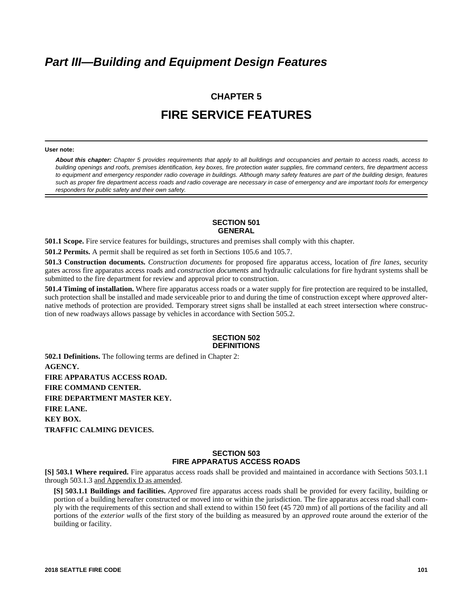# *Part III—Building and Equipment Design Features*

# **CHAPTER 5 FIRE SERVICE FEATURES**

#### **User note:**

*About this chapter: Chapter 5 provides requirements that apply to all buildings and occupancies and pertain to access roads, access to building openings and roofs, premises identification, key boxes, fire protection water supplies, fire command centers, fire department access to equipment and emergency responder radio coverage in buildings. Although many safety features are part of the building design, features such as proper fire department access roads and radio coverage are necessary in case of emergency and are important tools for emergency responders for public safety and their own safety.*

# **SECTION 501 GENERAL**

**501.1 Scope.** Fire service features for buildings, structures and premises shall comply with this chapter.

**501.2 Permits.** A permit shall be required as set forth in Sections 105.6 and 105.7.

**501.3 Construction documents.** *Construction documents* for proposed fire apparatus access, location of *fire lanes*, security gates across fire apparatus access roads and *construction documents* and hydraulic calculations for fire hydrant systems shall be submitted to the fire department for review and approval prior to construction.

**501.4 Timing of installation.** Where fire apparatus access roads or a water supply for fire protection are required to be installed, such protection shall be installed and made serviceable prior to and during the time of construction except where *approved* alternative methods of protection are provided. Temporary street signs shall be installed at each street intersection where construction of new roadways allows passage by vehicles in accordance with Section 505.2.

#### **SECTION 502 DEFINITIONS**

**502.1 Definitions.** The following terms are defined in Chapter 2: **AGENCY. FIRE APPARATUS ACCESS ROAD. FIRE COMMAND CENTER. FIRE DEPARTMENT MASTER KEY. FIRE LANE. KEY BOX. TRAFFIC CALMING DEVICES.** 

# **SECTION 503 FIRE APPARATUS ACCESS ROADS**

**[S] 503.1 Where required.** Fire apparatus access roads shall be provided and maintained in accordance with Sections 503.1.1 through 503.1.3 and Appendix D as amended.

**[S] 503.1.1 Buildings and facilities.** *Approved* fire apparatus access roads shall be provided for every facility, building or portion of a building hereafter constructed or moved into or within the jurisdiction. The fire apparatus access road shall comply with the requirements of this section and shall extend to within 150 feet (45 720 mm) of all portions of the facility and all portions of the *exterior walls* of the first story of the building as measured by an *approved* route around the exterior of the building or facility.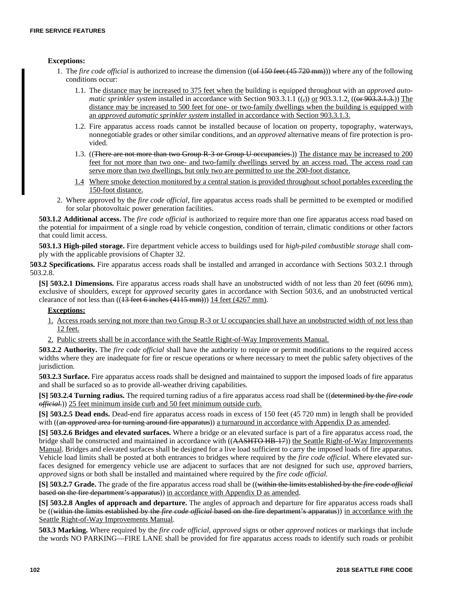#### **Exceptions:**

- 1. The *fire code official* is authorized to increase the dimension ((of 150 feet (45 720 mm))) where any of the following conditions occur:
	- 1.1. The distance may be increased to 375 feet when the building is equipped throughout with an *approved automatic sprinkler system* installed in accordance with Section 903.3.1.1 ((<sub>5</sub>) or 903.3.1.2. ((or 903.3.1.3.)) The distance may be increased to 500 feet for one- or two-family dwellings when the building is equipped with an *approved automatic sprinkler system* installed in accordance with Section 903.3.1.3.
	- 1.2. Fire apparatus access roads cannot be installed because of location on property, topography, waterways, nonnegotiable grades or other similar conditions, and an *approved* alternative means of fire protection is provided.
	- 1.3. ((There are not more than two Group R 3 or Group U occupancies.)) The distance may be increased to 200 feet for not more than two one- and two-family dwellings served by an access road. The access road can serve more than two dwellings, but only two are permitted to use the 200-foot distance.
	- 1.4 Where smoke detection monitored by a central station is provided throughout school portables exceeding the 150-foot distance.
- 2. Where approved by the *fire code official*, fire apparatus access roads shall be permitted to be exempted or modified for solar photovoltaic power generation facilities.

**503.1.2 Additional access.** The *fire code official* is authorized to require more than one fire apparatus access road based on the potential for impairment of a single road by vehicle congestion, condition of terrain, climatic conditions or other factors that could limit access.

**503.1.3 High-piled storage.** Fire department vehicle access to buildings used for *high-piled combustible storage* shall comply with the applicable provisions of Chapter 32.

**503.2 Specifications.** Fire apparatus access roads shall be installed and arranged in accordance with Sections 503.2.1 through 503.2.8.

**[S] 503.2.1 Dimensions.** Fire apparatus access roads shall have an unobstructed width of not less than 20 feet (6096 mm), exclusive of shoulders, except for *approved* security gates in accordance with Section 503.6, and an unobstructed vertical clearance of not less than  $((13 \text{ feet } 6 \text{ inches } (4115 \text{ mm})))$  14 feet  $(4267 \text{ mm})$ .

# **Exceptions:**

- 1. Access roads serving not more than two Group R-3 or U occupancies shall have an unobstructed width of not less than 12 feet.
- 2. Public streets shall be in accordance with the Seattle Right-of-Way Improvements Manual.

**503.2.2 Authority.** The *fire code official* shall have the authority to require or permit modifications to the required access widths where they are inadequate for fire or rescue operations or where necessary to meet the public safety objectives of the jurisdiction.

**503.2.3 Surface.** Fire apparatus access roads shall be designed and maintained to support the imposed loads of fire apparatus and shall be surfaced so as to provide all-weather driving capabilities.

**[S] 503.2.4 Turning radius.** The required turning radius of a fire apparatus access road shall be ((determined by the *fire code official.*)) 25 feet minimum inside curb and 50 feet minimum outside curb.

**[S] 503.2.5 Dead ends.** Dead-end fire apparatus access roads in excess of 150 feet (45 720 mm) in length shall be provided with ((an *approved* area for turning around fire apparatus)) a turnaround in accordance with Appendix D as amended.

**[S] 503.2.6 Bridges and elevated surfaces.** Where a bridge or an elevated surface is part of a fire apparatus access road, the bridge shall be constructed and maintained in accordance with ((AASHTO HB-17)) the Seattle Right-of-Way Improvements Manual. Bridges and elevated surfaces shall be designed for a live load sufficient to carry the imposed loads of fire apparatus. Vehicle load limits shall be posted at both entrances to bridges where required by the *fire code official.* Where elevated surfaces designed for emergency vehicle use are adjacent to surfaces that are not designed for such use, *approved* barriers, *approved* signs or both shall be installed and maintained where required by the *fire code official.*

**[S] 503.2.7 Grade.** The grade of the fire apparatus access road shall be ((within the limits established by the *fire code official* based on the fire department's apparatus)) in accordance with Appendix D as amended.

**[S] 503.2.8 Angles of approach and departure.** The angles of approach and departure for fire apparatus access roads shall be ((within the limits established by the *fire code official* based on the fire department's apparatus)) in accordance with the Seattle Right-of-Way Improvements Manual.

**503.3 Marking.** Where required by the *fire code official, approved* signs or other *approved* notices or markings that include the words NO PARKING—FIRE LANE shall be provided for fire apparatus access roads to identify such roads or prohibit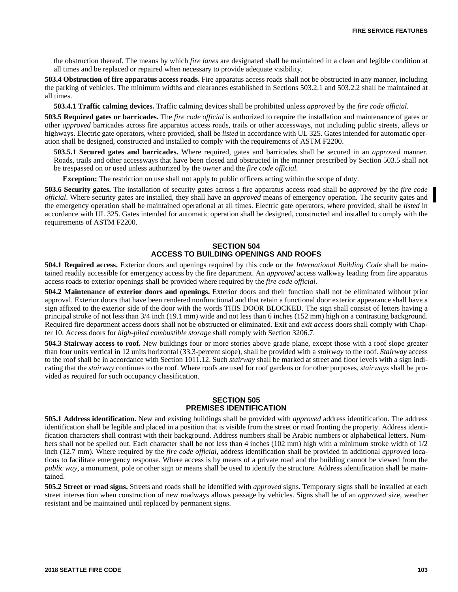the obstruction thereof. The means by which *fire lanes* are designated shall be maintained in a clean and legible condition at all times and be replaced or repaired when necessary to provide adequate visibility.

**503.4 Obstruction of fire apparatus access roads.** Fire apparatus access roads shall not be obstructed in any manner, including the parking of vehicles. The minimum widths and clearances established in Sections 503.2.1 and 503.2.2 shall be maintained at all times.

**503.4.1 Traffic calming devices.** Traffic calming devices shall be prohibited unless *approved* by the *fire code official.*

**503.5 Required gates or barricades.** The *fire code official* is authorized to require the installation and maintenance of gates or other *approved* barricades across fire apparatus access roads, trails or other accessways, not including public streets, alleys or highways. Electric gate operators, where provided, shall be *listed* in accordance with UL 325. Gates intended for automatic operation shall be designed, constructed and installed to comply with the requirements of ASTM F2200.

**503.5.1 Secured gates and barricades.** Where required, gates and barricades shall be secured in an *approved* manner. Roads, trails and other accessways that have been closed and obstructed in the manner prescribed by Section 503.5 shall not be trespassed on or used unless authorized by the *owner* and the *fire code official.*

**Exception:** The restriction on use shall not apply to public officers acting within the scope of duty.

**503.6 Security gates.** The installation of security gates across a fire apparatus access road shall be *approved* by the *fire code official*. Where security gates are installed, they shall have an *approved* means of emergency operation. The security gates and the emergency operation shall be maintained operational at all times. Electric gate operators, where provided, shall be *listed* in accordance with UL 325. Gates intended for automatic operation shall be designed, constructed and installed to comply with the requirements of ASTM F2200.

#### **SECTION 504 ACCESS TO BUILDING OPENINGS AND ROOFS**

**504.1 Required access.** Exterior doors and openings required by this code or the *International Building Code* shall be maintained readily accessible for emergency access by the fire department. An *approved* access walkway leading from fire apparatus access roads to exterior openings shall be provided where required by the *fire code official.*

**504.2 Maintenance of exterior doors and openings.** Exterior doors and their function shall not be eliminated without prior approval. Exterior doors that have been rendered nonfunctional and that retain a functional door exterior appearance shall have a sign affixed to the exterior side of the door with the words THIS DOOR BLOCKED. The sign shall consist of letters having a principal stroke of not less than 3/4 inch (19.1 mm) wide and not less than 6 inches (152 mm) high on a contrasting background. Required fire department access doors shall not be obstructed or eliminated. Exit and *exit access* doors shall comply with Chapter 10. Access doors for *high-piled combustible storage* shall comply with Section 3206.7.

**504.3 Stairway access to roof.** New buildings four or more stories above grade plane, except those with a roof slope greater than four units vertical in 12 units horizontal (33.3-percent slope), shall be provided with a *stairway* to the roof. *Stairway* access to the roof shall be in accordance with Section 1011.12. Such *stairway* shall be marked at street and floor levels with a sign indicating that the *stairway* continues to the roof. Where roofs are used for roof gardens or for other purposes, *stairways* shall be provided as required for such occupancy classification.

#### **SECTION 505 PREMISES IDENTIFICATION**

**505.1 Address identification.** New and existing buildings shall be provided with *approved* address identification. The address identification shall be legible and placed in a position that is visible from the street or road fronting the property. Address identification characters shall contrast with their background. Address numbers shall be Arabic numbers or alphabetical letters. Numbers shall not be spelled out. Each character shall be not less than 4 inches (102 mm) high with a minimum stroke width of 1/2 inch (12.7 mm). Where required by the *fire code official*, address identification shall be provided in additional *approved* locations to facilitate emergency response. Where access is by means of a private road and the building cannot be viewed from the *public way*, a monument, pole or other sign or means shall be used to identify the structure. Address identification shall be maintained.

**505.2 Street or road signs.** Streets and roads shall be identified with *approved* signs. Temporary signs shall be installed at each street intersection when construction of new roadways allows passage by vehicles. Signs shall be of an *approved* size, weather resistant and be maintained until replaced by permanent signs.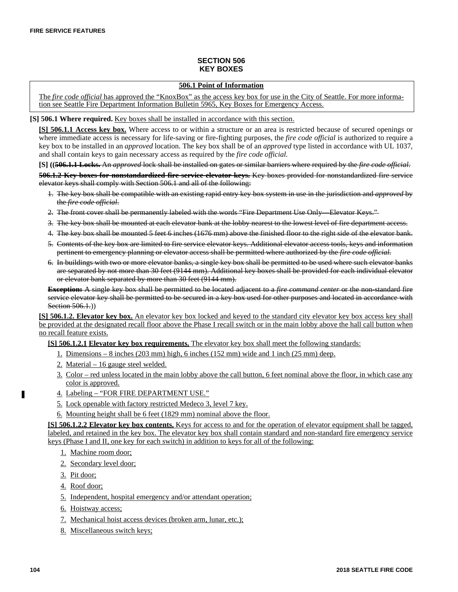# **SECTION 506 KEY BOXES**

# **506.1 Point of Information**

The *fire code official* has approved the "KnoxBox" as the access key box for use in the City of Seattle. For more information see Seattle Fire Department Information Bulletin 5965, Key Boxes for Emergency Access.

**[S] 506.1 Where required.** Key boxes shall be installed in accordance with this section.

**[S] 506.1.1 Access key box.** Where access to or within a structure or an area is restricted because of secured openings or where immediate access is necessary for life-saving or fire-fighting purposes, the *fire code official* is authorized to require a key box to be installed in an *approved* location. The key box shall be of an *approved* type listed in accordance with UL 1037, and shall contain keys to gain necessary access as required by the *fire code official.*

**[S] ((506.1.1 Locks.** An *approved* lock shall be installed on gates or similar barriers where required by the *fire code official*.

**506.1.2 Key boxes for nonstandardized fire service elevator keys.** Key boxes provided for nonstandardized fire service elevator keys shall comply with Section 506.1 and all of the following:

- 1. The key box shall be compatible with an existing rapid entry key box system in use in the jurisdiction and *approved* by the *fire code official*.
- 2. The front cover shall be permanently labeled with the words "Fire Department Use Only—Elevator Keys."
- 3. The key box shall be mounted at each elevator bank at the lobby nearest to the lowest level of fire department access.
- 4. The key box shall be mounted 5 feet 6 inches (1676 mm) above the finished floor to the right side of the elevator bank.
- 5. Contents of the key box are limited to fire service elevator keys. Additional elevator access tools, keys and information pertinent to emergency planning or elevator access shall be permitted where authorized by the *fire code official*.
- 6. In buildings with two or more elevator banks, a single key box shall be permitted to be used where such elevator banks are separated by not more than 30 feet (9144 mm). Additional key boxes shall be provided for each individual elevator or elevator bank separated by more than 30 feet (9144 mm).

**Exception:** A single key box shall be permitted to be located adjacent to a *fire command center* or the non-standard fire service elevator key shall be permitted to be secured in a key box used for other purposes and located in accordance with Section 506.1.)

**[S] 506.1.2. Elevator key box.** An elevator key box locked and keyed to the standard city elevator key box access key shall be provided at the designated recall floor above the Phase I recall switch or in the main lobby above the hall call button when no recall feature exists.

**[S] 506.1.2.1 Elevator key box requirements.** The elevator key box shall meet the following standards:

- 1. Dimensions 8 inches (203 mm) high, 6 inches (152 mm) wide and 1 inch (25 mm) deep.
- 2. Material 16 gauge steel welded.
- 3. Color red unless located in the main lobby above the call button, 6 feet nominal above the floor, in which case any color is approved.
- 4. Labeling "FOR FIRE DEPARTMENT USE."
- 5. Lock openable with factory restricted Medeco 3, level 7 key.
- 6. Mounting height shall be 6 feet (1829 mm) nominal above the floor.

**[S] 506.1.2.2 Elevator key box contents.** Keys for access to and for the operation of elevator equipment shall be tagged, labeled, and retained in the key box. The elevator key box shall contain standard and non-standard fire emergency service keys (Phase I and II, one key for each switch) in addition to keys for all of the following:

- 1. Machine room door;
- 2. Secondary level door;
- 3. Pit door;
- 4. Roof door;
- 5. Independent, hospital emergency and/or attendant operation;
- 6. Hoistway access;
- 7. Mechanical hoist access devices (broken arm, lunar, etc.);
- 8. Miscellaneous switch keys;

Г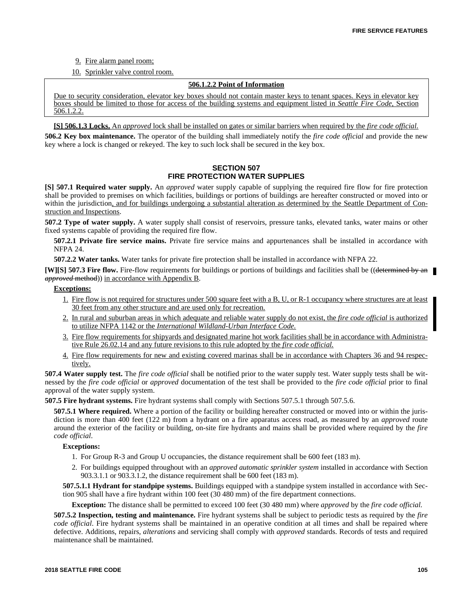- 9. Fire alarm panel room;
- 10. Sprinkler valve control room.

# **506.1.2.2 Point of Information**

Due to security consideration, elevator key boxes should not contain master keys to tenant spaces. Keys in elevator key boxes should be limited to those for access of the building systems and equipment listed in *Seattle Fire Code,* Section 506.1.2.2.

**[S] 506.1.3 Locks.** An *approved* lock shall be installed on gates or similar barriers when required by the *fire code official*.

**506.2 Key box maintenance.** The operator of the building shall immediately notify the *fire code official* and provide the new key where a lock is changed or rekeyed. The key to such lock shall be secured in the key box.

# **SECTION 507 FIRE PROTECTION WATER SUPPLIES**

**[S] 507.1 Required water supply.** An *approved* water supply capable of supplying the required fire flow for fire protection shall be provided to premises on which facilities, buildings or portions of buildings are hereafter constructed or moved into or within the jurisdiction, and for buildings undergoing a substantial alteration as determined by the Seattle Department of Construction and Inspections.

**507.2 Type of water supply.** A water supply shall consist of reservoirs, pressure tanks, elevated tanks, water mains or other fixed systems capable of providing the required fire flow.

**507.2.1 Private fire service mains.** Private fire service mains and appurtenances shall be installed in accordance with NFPA 24.

**507.2.2 Water tanks.** Water tanks for private fire protection shall be installed in accordance with NFPA 22.

**[W][S] 507.3 Fire flow.** Fire-flow requirements for buildings or portions of buildings and facilities shall be ((determined by an *approved* method)) in accordance with Appendix B.

# **Exceptions:**

- 1. Fire flow is not required for structures under 500 square feet with a B, U, or R-1 occupancy where structures are at least 30 feet from any other structure and are used only for recreation.
- 2. In rural and suburban areas in which adequate and reliable water supply do not exist, the *fire code official* is authorized to utilize NFPA 1142 or the *International Wildland-Urban Interface Code.*
- 3. Fire flow requirements for shipyards and designated marine hot work facilities shall be in accordance with Administrative Rule 26.02.14 and any future revisions to this rule adopted by the *fire code official.*
- 4. Fire flow requirements for new and existing covered marinas shall be in accordance with Chapters 36 and 94 respectively.

**507.4 Water supply test.** The *fire code official* shall be notified prior to the water supply test. Water supply tests shall be witnessed by the *fire code official* or *approved* documentation of the test shall be provided to the *fire code official* prior to final approval of the water supply system.

**507.5 Fire hydrant systems.** Fire hydrant systems shall comply with Sections 507.5.1 through 507.5.6.

**507.5.1 Where required.** Where a portion of the facility or building hereafter constructed or moved into or within the jurisdiction is more than 400 feet (122 m) from a hydrant on a fire apparatus access road, as measured by an *approved* route around the exterior of the facility or building, on-site fire hydrants and mains shall be provided where required by the *fire code official*.

# **Exceptions:**

- 1. For Group R-3 and Group U occupancies, the distance requirement shall be 600 feet (183 m).
- 2. For buildings equipped throughout with an *approved automatic sprinkler system* installed in accordance with Section 903.3.1.1 or 903.3.1.2, the distance requirement shall be 600 feet (183 m).

**507.5.1.1 Hydrant for standpipe systems.** Buildings equipped with a standpipe system installed in accordance with Section 905 shall have a fire hydrant within 100 feet (30 480 mm) of the fire department connections.

**Exception:** The distance shall be permitted to exceed 100 feet (30 480 mm) where *approved* by the *fire code official.*

**507.5.2 Inspection, testing and maintenance.** Fire hydrant systems shall be subject to periodic tests as required by the *fire code official*. Fire hydrant systems shall be maintained in an operative condition at all times and shall be repaired where defective. Additions, repairs, *alterations* and servicing shall comply with *approved* standards. Records of tests and required maintenance shall be maintained.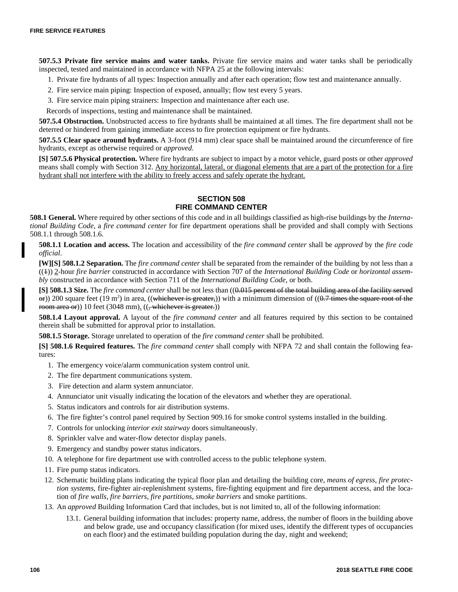**507.5.3 Private fire service mains and water tanks.** Private fire service mains and water tanks shall be periodically inspected, tested and maintained in accordance with NFPA 25 at the following intervals:

- 1. Private fire hydrants of all types: Inspection annually and after each operation; flow test and maintenance annually.
- 2. Fire service main piping: Inspection of exposed, annually; flow test every 5 years.
- 3. Fire service main piping strainers: Inspection and maintenance after each use.

Records of inspections, testing and maintenance shall be maintained.

**507.5.4 Obstruction.** Unobstructed access to fire hydrants shall be maintained at all times. The fire department shall not be deterred or hindered from gaining immediate access to fire protection equipment or fire hydrants.

**507.5.5 Clear space around hydrants.** A 3-foot (914 mm) clear space shall be maintained around the circumference of fire hydrants, except as otherwise required or *approved*.

**[S] 507.5.6 Physical protection.** Where fire hydrants are subject to impact by a motor vehicle, guard posts or other *approved* means shall comply with Section 312. Any horizontal, lateral, or diagonal elements that are a part of the protection for a fire hydrant shall not interfere with the ability to freely access and safely operate the hydrant.

#### **SECTION 508 FIRE COMMAND CENTER**

**508.1 General.** Where required by other sections of this code and in all buildings classified as high-rise buildings by the *International Building Code*, a *fire command center* for fire department operations shall be provided and shall comply with Sections 508.1.1 through 508.1.6.

**508.1.1 Location and access.** The location and accessibility of the *fire command center* shall be *approved* by the *fire code official*.

**[W][S] 508.1.2 Separation.** The *fire command center* shall be separated from the remainder of the building by not less than a ((1)) 2-hour *fire barrier* constructed in accordance with Section 707 of the *International Building Code* or *horizontal assembly* constructed in accordance with Section 711 of the *International Building Code*, or both.

**[S] 508.1.3 Size.** The *fire command center* shall be not less than ((0.015 percent of the total building area of the facility served  $\sigma$ )) 200 square feet (19 m<sup>2</sup>) in area, ((whichever is greater,)) with a minimum dimension of ((0.7 times the square root of the room area or)) 10 feet (3048 mm).  $((, \text{whiehever is greater.}))$ 

**508.1.4 Layout approval.** A layout of the *fire command center* and all features required by this section to be contained therein shall be submitted for approval prior to installation.

**508.1.5 Storage.** Storage unrelated to operation of the *fire command center* shall be prohibited.

**[S] 508.1.6 Required features.** The *fire command center* shall comply with NFPA 72 and shall contain the following features:

- 1. The emergency voice/alarm communication system control unit.
- 2. The fire department communications system.
- 3. Fire detection and alarm system annunciator.
- 4. Annunciator unit visually indicating the location of the elevators and whether they are operational.
- 5. Status indicators and controls for air distribution systems.
- 6. The fire fighter's control panel required by Section 909.16 for smoke control systems installed in the building.
- 7. Controls for unlocking *interior exit stairway* doors simultaneously.
- 8. Sprinkler valve and water-flow detector display panels.
- 9. Emergency and standby power status indicators.
- 10. A telephone for fire department use with controlled access to the public telephone system.
- 11. Fire pump status indicators.
- 12. Schematic building plans indicating the typical floor plan and detailing the building core, *means of egress*, *fire protection systems*, fire-fighter air-replenishment systems, fire-fighting equipment and fire department access, and the location of *fire walls*, *fire barriers*, *fire partitions*, *smoke barriers* and smoke partitions.
- 13. An *approved* Building Information Card that includes, but is not limited to, all of the following information:
	- 13.1. General building information that includes: property name, address, the number of floors in the building above and below grade, use and occupancy classification (for mixed uses, identify the different types of occupancies on each floor) and the estimated building population during the day, night and weekend;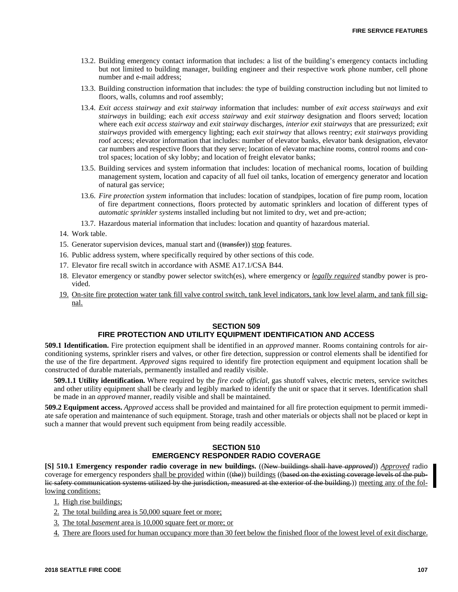- 13.2. Building emergency contact information that includes: a list of the building's emergency contacts including but not limited to building manager, building engineer and their respective work phone number, cell phone number and e-mail address;
- 13.3. Building construction information that includes: the type of building construction including but not limited to floors, walls, columns and roof assembly;
- 13.4. *Exit access stairway* and *exit stairway* information that includes: number of *exit access stairways* and *exit stairways* in building; each *exit access stairway* and *exit stairway* designation and floors served; location where each *exit access stairway* and *exit stairway* discharges, *interior exit stairways* that are pressurized; *exit stairways* provided with emergency lighting; each *exit stairway* that allows reentry; *exit stairways* providing roof access; elevator information that includes: number of elevator banks, elevator bank designation, elevator car numbers and respective floors that they serve; location of elevator machine rooms, control rooms and control spaces; location of sky lobby; and location of freight elevator banks;
- 13.5. Building services and system information that includes: location of mechanical rooms, location of building management system, location and capacity of all fuel oil tanks, location of emergency generator and location of natural gas service;
- 13.6. *Fire protection system* information that includes: location of standpipes, location of fire pump room, location of fire department connections, floors protected by automatic sprinklers and location of different types of *automatic sprinkler systems* installed including but not limited to dry, wet and pre-action;
- 13.7. Hazardous material information that includes: location and quantity of hazardous material.
- 14. Work table.
- 15. Generator supervision devices, manual start and ((transfer)) stop features.
- 16. Public address system, where specifically required by other sections of this code.
- 17. Elevator fire recall switch in accordance with ASME A17.1/CSA B44.
- 18. Elevator emergency or standby power selector switch(es), where emergency or *legally required* standby power is provided.
- 19. On-site fire protection water tank fill valve control switch, tank level indicators, tank low level alarm, and tank fill signal.

# **SECTION 509**

# **FIRE PROTECTION AND UTILITY EQUIPMENT IDENTIFICATION AND ACCESS**

**509.1 Identification.** Fire protection equipment shall be identified in an *approved* manner. Rooms containing controls for airconditioning systems, sprinkler risers and valves, or other fire detection, suppression or control elements shall be identified for the use of the fire department. *Approved* signs required to identify fire protection equipment and equipment location shall be constructed of durable materials, permanently installed and readily visible.

**509.1.1 Utility identification.** Where required by the *fire code official*, gas shutoff valves, electric meters, service switches and other utility equipment shall be clearly and legibly marked to identify the unit or space that it serves. Identification shall be made in an *approved* manner, readily visible and shall be maintained.

**509.2 Equipment access.** *Approved* access shall be provided and maintained for all fire protection equipment to permit immediate safe operation and maintenance of such equipment. Storage, trash and other materials or objects shall not be placed or kept in such a manner that would prevent such equipment from being readily accessible.

# **SECTION 510 EMERGENCY RESPONDER RADIO COVERAGE**

**[S] 510.1 Emergency responder radio coverage in new buildings.** ((New buildings shall have *approved*)) *Approved* radio coverage for emergency responders shall be provided within ((the)) buildings ((based on the existing coverage levels of the public safety communication systems utilized by the jurisdiction, measured at the exterior of the building.)) meeting any of the following conditions:

- 1. High rise buildings;
- 2. The total building area is 50,000 square feet or more;
- 3. The total *basement* area is 10,000 square feet or more; or

4. There are floors used for human occupancy more than 30 feet below the finished floor of the lowest level of exit discharge.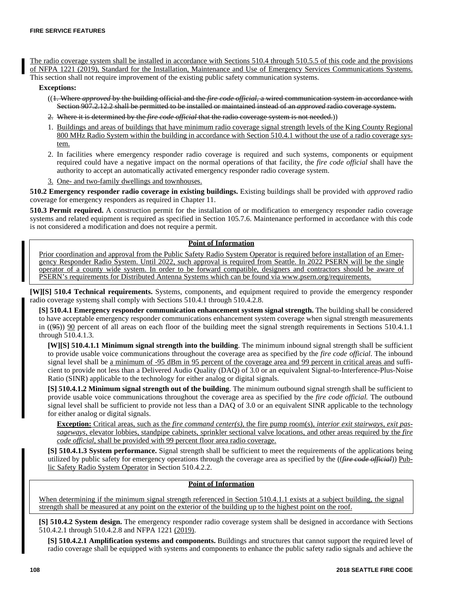The radio coverage system shall be installed in accordance with Sections 510.4 through 510.5.5 of this code and the provisions of NFPA 1221 (2019), Standard for the Installation, Maintenance and Use of Emergency Services Communications Systems. This section shall not require improvement of the existing public safety communication systems.

#### **Exceptions:**

- ((1. Where *approved* by the building official and the *fire code official,* a wired communication system in accordance with Section 907.2.12.2 shall be permitted to be installed or maintained instead of an *approved* radio coverage system.
- 2. Where it is determined by the *fire code official* that the radio coverage system is not needed.))
- 1. Buildings and areas of buildings that have minimum radio coverage signal strength levels of the King County Regional 800 MHz Radio System within the building in accordance with Section 510.4.1 without the use of a radio coverage system.
- 2. In facilities where emergency responder radio coverage is required and such systems, components or equipment required could have a negative impact on the normal operations of that facility, the *fire code official* shall have the authority to accept an automatically activated emergency responder radio coverage system.
- 3. One- and two-family dwellings and townhouses.

**510.2 Emergency responder radio coverage in existing buildings.** Existing buildings shall be provided with *approved* radio coverage for emergency responders as required in Chapter 11.

**510.3 Permit required.** A construction permit for the installation of or modification to emergency responder radio coverage systems and related equipment is required as specified in Section 105.7.6. Maintenance performed in accordance with this code is not considered a modification and does not require a permit.

# **Point of Information**

Prior coordination and approval from the Public Safety Radio System Operator is required before installation of an Emergency Responder Radio System. Until 2022, such approval is required from Seattle. In 2022 PSERN will be the single operator of a county wide system. In order to be forward compatible, designers and contractors should be aware of PSERN's requirements for Distributed Antenna Systems which can be found via www.psern.org/requirements.

**[W][S] 510.4 Technical requirements.** Systems, components, and equipment required to provide the emergency responder radio coverage systems shall comply with Sections 510.4.1 through 510.4.2.8.

**[S] 510.4.1 Emergency responder communication enhancement system signal strength.** The building shall be considered to have acceptable emergency responder communications enhancement system coverage when signal strength measurements in  $((95))$  90 percent of all areas on each floor of the building meet the signal strength requirements in Sections 510.4.1.1 through 510.4.1.3.

**[W][S] 510.4.1.1 Minimum signal strength into the building**. The minimum inbound signal strength shall be sufficient to provide usable voice communications throughout the coverage area as specified by the *fire code official*. The inbound signal level shall be a minimum of -95 dBm in 95 percent of the coverage area and 99 percent in critical areas and sufficient to provide not less than a Delivered Audio Quality (DAQ) of 3.0 or an equivalent Signal-to-Interference-Plus-Noise Ratio (SINR) applicable to the technology for either analog or digital signals.

**[S] 510.4.1.2 Minimum signal strength out of the building**. The minimum outbound signal strength shall be sufficient to provide usable voice communications throughout the coverage area as specified by the *fire code official.* The outbound signal level shall be sufficient to provide not less than a DAQ of 3.0 or an equivalent SINR applicable to the technology for either analog or digital signals.

**Exception:** Critical areas, such as the *fire command center(s),* the fire pump room(s), *interior exit stairways, exit passageways,* elevator lobbies, standpipe cabinets, sprinkler sectional valve locations, and other areas required by the *fire code official,* shall be provided with 99 percent floor area radio coverage.

**[S] 510.4.1.3 System performance.** Signal strength shall be sufficient to meet the requirements of the applications being utilized by public safety for emergency operations through the coverage area as specified by the ((*fire code official*)) Public Safety Radio System Operator in Section 510.4.2.2.

# **Point of Information**

When determining if the minimum signal strength referenced in Section 510.4.1.1 exists at a subject building, the signal strength shall be measured at any point on the exterior of the building up to the highest point on the roof.

**[S] 510.4.2 System design.** The emergency responder radio coverage system shall be designed in accordance with Sections 510.4.2.1 through 510.4.2.8 and NFPA 1221 (2019).

**[S] 510.4.2.1 Amplification systems and components.** Buildings and structures that cannot support the required level of radio coverage shall be equipped with systems and components to enhance the public safety radio signals and achieve the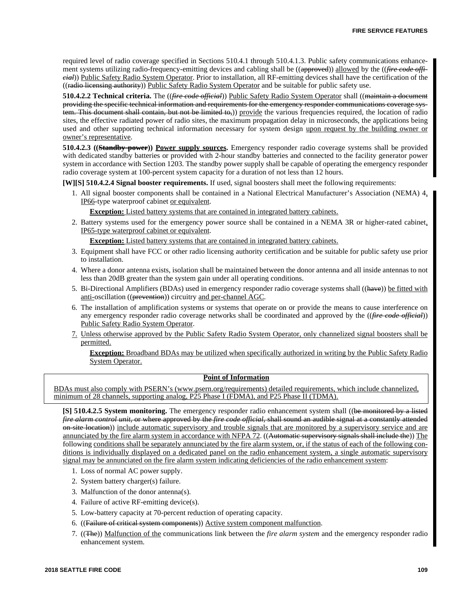required level of radio coverage specified in Sections 510.4.1 through 510.4.1.3. Public safety communications enhancement systems utilizing radio-frequency-emitting devices and cabling shall be ((approved)) allowed by the ((*fire code official*)) Public Safety Radio System Operator. Prior to installation, all RF-emitting devices shall have the certification of the ((radio licensing authority)) Public Safety Radio System Operator and be suitable for public safety use.

**510.4.2.2 Technical criteria.** The ((*fire code official*)) Public Safety Radio System Operator shall ((maintain a document providing the specific technical information and requirements for the emergency responder communications coverage system. This document shall contain, but not be limited to,)) provide the various frequencies required, the location of radio sites, the effective radiated power of radio sites, the maximum propagation delay in microseconds, the applications being used and other supporting technical information necessary for system design upon request by the building owner or owner's representative.

**510.4.2.3 ((Standby power)) Power supply sources.** Emergency responder radio coverage systems shall be provided with dedicated standby batteries or provided with 2-hour standby batteries and connected to the facility generator power system in accordance with Section 1203. The standby power supply shall be capable of operating the emergency responder radio coverage system at 100-percent system capacity for a duration of not less than 12 hours.

**[W][S] 510.4.2.4 Signal booster requirements.** If used, signal boosters shall meet the following requirements:

1. All signal booster components shall be contained in a National Electrical Manufacturer's Association (NEMA) 4, IP66-type waterproof cabinet or equivalent.

**Exception:** Listed battery systems that are contained in integrated battery cabinets.

2. Battery systems used for the emergency power source shall be contained in a NEMA 3R or higher-rated cabinet, IP65-type waterproof cabinet or equivalent.

**Exception:** Listed battery systems that are contained in integrated battery cabinets.

- 3. Equipment shall have FCC or other radio licensing authority certification and be suitable for public safety use prior to installation.
- 4. Where a donor antenna exists, isolation shall be maintained between the donor antenna and all inside antennas to not less than 20dB greater than the system gain under all operating conditions.
- 5. Bi-Directional Amplifiers (BDAs) used in emergency responder radio coverage systems shall ((have)) be fitted with anti-oscillation ((prevention)) circuitry and per-channel AGC.
- 6. The installation of amplification systems or systems that operate on or provide the means to cause interference on any emergency responder radio coverage networks shall be coordinated and approved by the ((*fire code official*)) Public Safety Radio System Operator.
- 7. Unless otherwise approved by the Public Safety Radio System Operator, only channelized signal boosters shall be permitted.

**Exception:** Broadband BDAs may be utilized when specifically authorized in writing by the Public Safety Radio System Operator.

# **Point of Information**

BDAs must also comply with PSERN's (www.psern.org/requirements) detailed requirements, which include channelized, minimum of 28 channels, supporting analog, P25 Phase I (FDMA), and P25 Phase II (TDMA).

**[S] 510.4.2.5 System monitoring.** The emergency responder radio enhancement system shall ((be monitored by a listed *fire alarm control unit,* or where approved by the *fire code official,* shall sound an audible signal at a constantly attended on-site location)) include automatic supervisory and trouble signals that are monitored by a supervisory service and are annunciated by the fire alarm system in accordance with NFPA 72. ((Automatic supervisory signals shall include the)) The following conditions shall be separately annunciated by the fire alarm system, or, if the status of each of the following conditions is individually displayed on a dedicated panel on the radio enhancement system, a single automatic supervisory signal may be annunciated on the fire alarm system indicating deficiencies of the radio enhancement system:

- 1. Loss of normal AC power supply.
- 2. System battery charger(s) failure.
- 3. Malfunction of the donor antenna(s).
- 4. Failure of active RF-emitting device(s).
- 5. Low-battery capacity at 70-percent reduction of operating capacity.
- 6. ((Failure of critical system components)) Active system component malfunction.
- 7. ((The)) Malfunction of the communications link between the *fire alarm system* and the emergency responder radio enhancement system.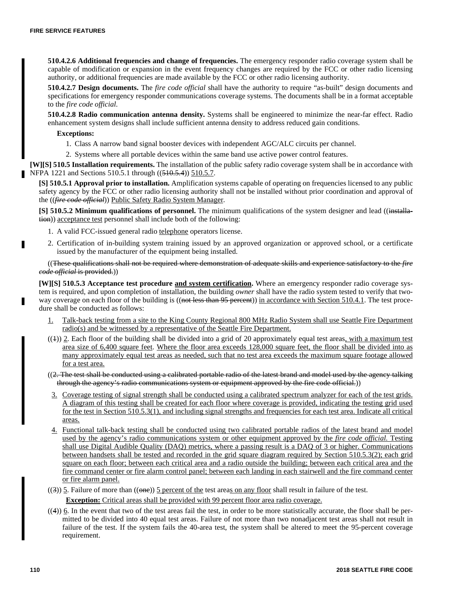**510.4.2.6 Additional frequencies and change of frequencies.** The emergency responder radio coverage system shall be capable of modification or expansion in the event frequency changes are required by the FCC or other radio licensing authority, or additional frequencies are made available by the FCC or other radio licensing authority.

**510.4.2.7 Design documents.** The *fire code official* shall have the authority to require "as-built" design documents and specifications for emergency responder communications coverage systems. The documents shall be in a format acceptable to the *fire code official*.

**510.4.2.8 Radio communication antenna density.** Systems shall be engineered to minimize the near-far effect. Radio enhancement system designs shall include sufficient antenna density to address reduced gain conditions.

# **Exceptions:**

1. Class A narrow band signal booster devices with independent AGC/ALC circuits per channel.

2. Systems where all portable devices within the same band use active power control features.

**[W][S] 510.5 Installation requirements.** The installation of the public safety radio coverage system shall be in accordance with NFPA 1221 and Sections 510.5.1 through ((510.5.4)) 510.5.7.

**[S] 510.5.1 Approval prior to installation.** Amplification systems capable of operating on frequencies licensed to any public safety agency by the FCC or other radio licensing authority shall not be installed without prior coordination and approval of the ((*fire code official*)) Public Safety Radio System Manager.

**[S] 510.5.2 Minimum qualifications of personnel.** The minimum qualifications of the system designer and lead ((installation)) acceptance test personnel shall include both of the following:

- 1. A valid FCC-issued general radio telephone operators license.
- 2. Certification of in-building system training issued by an approved organization or approved school, or a certificate issued by the manufacturer of the equipment being installed.

((These qualifications shall not be required where demonstration of adequate skills and experience satisfactory to the *fire code official* is provided.))

**[W][S] 510.5.3 Acceptance test procedure and system certification.** Where an emergency responder radio coverage system is required, and upon completion of installation, the building *owner* shall have the radio system tested to verify that twoway coverage on each floor of the building is ((not less than 95 percent)) in accordance with Section 510.4.1. The test procedure shall be conducted as follows:

- 1. Talk-back testing from a site to the King County Regional 800 MHz Radio System shall use Seattle Fire Department radio(s) and be witnessed by a representative of the Seattle Fire Department.
- $((+))$  2. Each floor of the building shall be divided into a grid of 20 approximately equal test areas, with a maximum test area size of 6,400 square feet. Where the floor area exceeds 128,000 square feet, the floor shall be divided into as many approximately equal test areas as needed, such that no test area exceeds the maximum square footage allowed for a test area.
- ((2. The test shall be conducted using a calibrated portable radio of the latest brand and model used by the agency talking through the agency's radio communications system or equipment approved by the fire code official.))
- 3. Coverage testing of signal strength shall be conducted using a calibrated spectrum analyzer for each of the test grids. A diagram of this testing shall be created for each floor where coverage is provided, indicating the testing grid used for the test in Section 510.5.3(1), and including signal strengths and frequencies for each test area. Indicate all critical areas.
- 4. Functional talk-back testing shall be conducted using two calibrated portable radios of the latest brand and model used by the agency's radio communications system or other equipment approved by the *fire code official.* Testing shall use Digital Audible Quality (DAQ) metrics, where a passing result is a DAQ of 3 or higher. Communications between handsets shall be tested and recorded in the grid square diagram required by Section 510.5.3(2); each grid square on each floor; between each critical area and a radio outside the building; between each critical area and the fire command center or fire alarm control panel; between each landing in each stairwell and the fire command center or fire alarm panel.
- ((3))  $\overline{5}$ . Failure of more than (( $\overline{one}$ ))  $\overline{5}$  percent of the test areas on any floor shall result in failure of the test.

**Exception:** Critical areas shall be provided with 99 percent floor area radio coverage.

 $((4))$  6. In the event that two of the test areas fail the test, in order to be more statistically accurate, the floor shall be permitted to be divided into 40 equal test areas. Failure of not more than two nonadjacent test areas shall not result in failure of the test. If the system fails the 40-area test, the system shall be altered to meet the 95-percent coverage requirement.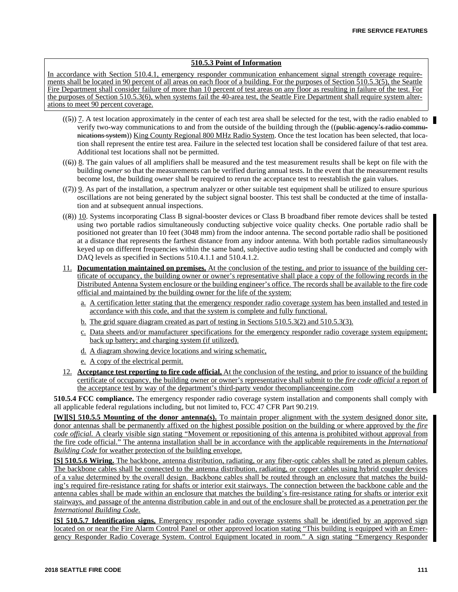# **510.5.3 Point of Information**

In accordance with Section 510.4.1, emergency responder communication enhancement signal strength coverage requirements shall be located in 90 percent of all areas on each floor of a building. For the purposes of Section 510.5.3(5), the Seattle Fire Department shall consider failure of more than 10 percent of test areas on any floor as resulting in failure of the test. For the purposes of Section 510.5.3(6), when systems fail the 40-area test, the Seattle Fire Department shall require system alterations to meet 90 percent coverage.

- $((5))$  7. A test location approximately in the center of each test area shall be selected for the test, with the radio enabled to verify two-way communications to and from the outside of the building through the ((public agency's radio communications system)) King County Regional 800 MHz Radio System. Once the test location has been selected, that location shall represent the entire test area. Failure in the selected test location shall be considered failure of that test area. Additional test locations shall not be permitted.
- $((6))$  8. The gain values of all amplifiers shall be measured and the test measurement results shall be kept on file with the building *owner* so that the measurements can be verified during annual tests. In the event that the measurement results become lost, the building *owner* shall be required to rerun the acceptance test to reestablish the gain values.
- $((7))$  9. As part of the installation, a spectrum analyzer or other suitable test equipment shall be utilized to ensure spurious oscillations are not being generated by the subject signal booster. This test shall be conducted at the time of installation and at subsequent annual inspections.
- ((8)) 10. Systems incorporating Class B signal-booster devices or Class B broadband fiber remote devices shall be tested using two portable radios simultaneously conducting subjective voice quality checks. One portable radio shall be positioned not greater than 10 feet (3048 mm) from the indoor antenna. The second portable radio shall be positioned at a distance that represents the farthest distance from any indoor antenna. With both portable radios simultaneously keyed up on different frequencies within the same band, subjective audio testing shall be conducted and comply with DAQ levels as specified in Sections 510.4.1.1 and 510.4.1.2.
- 11. **Documentation maintained on premises.** At the conclusion of the testing, and prior to issuance of the building certificate of occupancy, the building owner or owner's representative shall place a copy of the following records in the Distributed Antenna System enclosure or the building engineer's office. The records shall be available to the fire code official and maintained by the building owner for the life of the system:
	- a. A certification letter stating that the emergency responder radio coverage system has been installed and tested in accordance with this code, and that the system is complete and fully functional.
	- b. The grid square diagram created as part of testing in Sections 510.5.3(2) and 510.5.3(3).
	- c. Data sheets and/or manufacturer specifications for the emergency responder radio coverage system equipment; back up battery; and charging system (if utilized).
	- d. A diagram showing device locations and wiring schematic,
	- e. A copy of the electrical permit.
- 12. **Acceptance test reporting to fire code official.** At the conclusion of the testing, and prior to issuance of the building certificate of occupancy, the building owner or owner's representative shall submit to the *fire code official* a report of the acceptance test by way of the department's third-party vendor thecomplianceengine.com

**510.5.4 FCC compliance.** The emergency responder radio coverage system installation and components shall comply with all applicable federal regulations including, but not limited to, FCC 47 CFR Part 90.219.

**[W][S] 510.5.5 Mounting of the donor antenna(s).** To maintain proper alignment with the system designed donor site, donor antennas shall be permanently affixed on the highest possible position on the building or where approved by the *fire code official.* A clearly visible sign stating "Movement or repositioning of this antenna is prohibited without approval from the fire code official." The antenna installation shall be in accordance with the applicable requirements in the *International Building Code* for weather protection of the building envelope.

**[S] 510.5.6 Wiring.** The backbone, antenna distribution, radiating, or any fiber-optic cables shall be rated as plenum cables. The backbone cables shall be connected to the antenna distribution, radiating, or copper cables using hybrid coupler devices of a value determined by the overall design. Backbone cables shall be routed through an enclosure that matches the building's required fire-resistance rating for shafts or interior exit stairways. The connection between the backbone cable and the antenna cables shall be made within an enclosure that matches the building's fire-resistance rating for shafts or interior exit stairways, and passage of the antenna distribution cable in and out of the enclosure shall be protected as a penetration per the *International Building Code.*

**[S] 510.5.7 Identification signs.** Emergency responder radio coverage systems shall be identified by an approved sign located on or near the Fire Alarm Control Panel or other approved location stating "This building is equipped with an Emergency Responder Radio Coverage System. Control Equipment located in room." A sign stating "Emergency Responder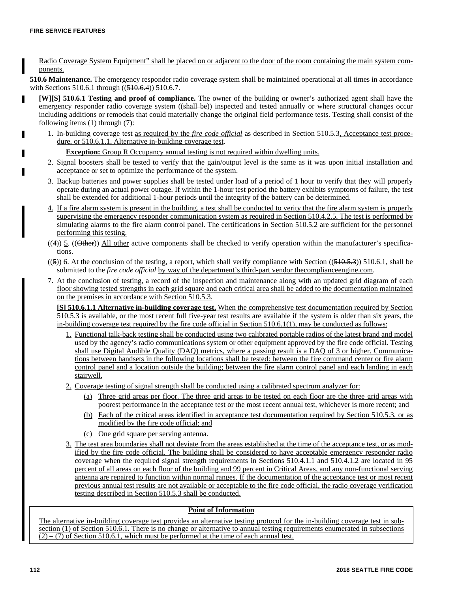Radio Coverage System Equipment" shall be placed on or adjacent to the door of the room containing the main system components.

**510.6 Maintenance.** The emergency responder radio coverage system shall be maintained operational at all times in accordance with Sections 510.6.1 through ((510.6.4)) 510.6.7.

- **[W][S] 510.6.1 Testing and proof of compliance.** The owner of the building or owner's authorized agent shall have the emergency responder radio coverage system ((shall be)) inspected and tested annually or where structural changes occur including additions or remodels that could materially change the original field performance tests. Testing shall consist of the following  $\frac{items (1) through (7)}{$ :
	- 1. In-building coverage test as required by the *fire code official* as described in Section 510.5.3, Acceptance test procedure, or 510.6.1.1, Alternative in-building coverage test.

**Exception:** Group R Occupancy annual testing is not required within dwelling units.

- 2. Signal boosters shall be tested to verify that the gain/output level is the same as it was upon initial installation and acceptance or set to optimize the performance of the system.
- 3. Backup batteries and power supplies shall be tested under load of a period of 1 hour to verify that they will properly operate during an actual power outage. If within the 1-hour test period the battery exhibits symptoms of failure, the test shall be extended for additional 1-hour periods until the integrity of the battery can be determined.
- 4. If a fire alarm system is present in the building, a test shall be conducted to verity that the fire alarm system is properly supervising the emergency responder communication system as required in Section 510.4.2.5. The test is performed by simulating alarms to the fire alarm control panel. The certifications in Section 510.5.2 are sufficient for the personnel performing this testing.
- $((4))$  5.  $((Other)$  All other active components shall be checked to verify operation within the manufacturer's specifications.
- $((5))$  6. At the conclusion of the testing, a report, which shall verify compliance with Section  $((510.5.3))$  510.6.1, shall be submitted to the *fire code official* by way of the department's third-part vendor thecomplianceengine.com.
- 7. At the conclusion of testing, a record of the inspection and maintenance along with an updated grid diagram of each floor showing tested strengths in each grid square and each critical area shall be added to the documentation maintained on the premises in accordance with Section 510.5.3.

**[S] 510.6.1.1 Alternative in-building coverage test.** When the comprehensive test documentation required by Section 510.5.3 is available, or the most recent full five-year test results are available if the system is older than six years, the in-building coverage test required by the fire code official in Section 510.6.1(1), may be conducted as follows:

- 1. Functional talk-back testing shall be conducted using two calibrated portable radios of the latest brand and model used by the agency's radio communications system or other equipment approved by the fire code official. Testing shall use Digital Audible Quality (DAQ) metrics, where a passing result is a DAQ of 3 or higher. Communications between handsets in the following locations shall be tested: between the fire command center or fire alarm control panel and a location outside the building; between the fire alarm control panel and each landing in each stairwell.
- 2. Coverage testing of signal strength shall be conducted using a calibrated spectrum analyzer for:
	- (a) Three grid areas per floor. The three grid areas to be tested on each floor are the three grid areas with poorest performance in the acceptance test or the most recent annual test, whichever is more recent; and
	- (b) Each of the critical areas identified in acceptance test documentation required by Section 510.5.3, or as modified by the fire code official; and
	- (c) One grid square per serving antenna.
- 3. The test area boundaries shall not deviate from the areas established at the time of the acceptance test, or as modified by the fire code official. The building shall be considered to have acceptable emergency responder radio coverage when the required signal strength requirements in Sections 510.4.1.1 and 510.4.1.2 are located in 95 percent of all areas on each floor of the building and 99 percent in Critical Areas, and any non-functional serving antenna are repaired to function within normal ranges. If the documentation of the acceptance test or most recent previous annual test results are not available or acceptable to the fire code official, the radio coverage verification testing described in Section 510.5.3 shall be conducted.

# **Point of Information**

The alternative in-building coverage test provides an alternative testing protocol for the in-building coverage test in subsection (1) of Section 510.6.1. There is no change or alternative to annual testing requirements enumerated in subsections  $(2) - (7)$  of Section 510.6.1, which must be performed at the time of each annual test.